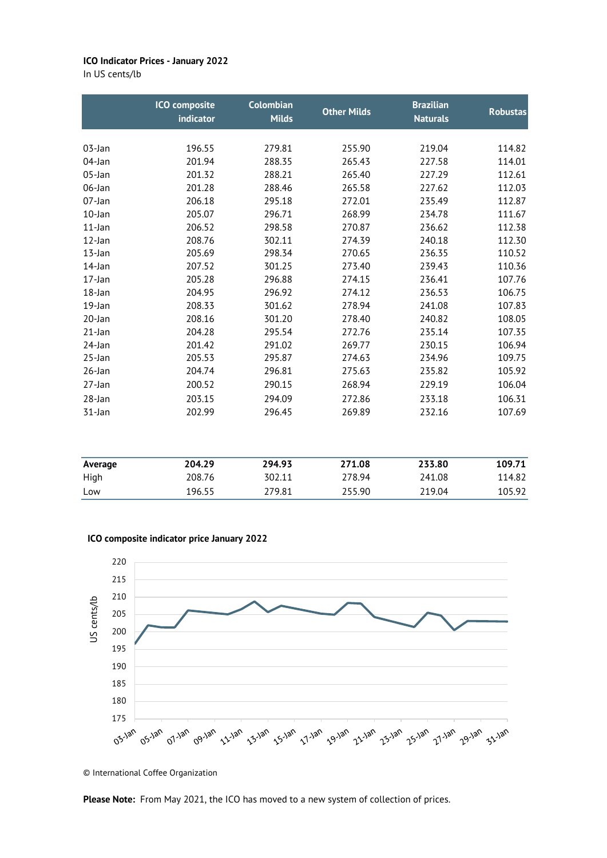## **ICO Indicator Prices - January 2022**

In US cents/lb

|           | <b>ICO</b> composite<br>indicator | <b>Colombian</b><br><b>Milds</b> | <b>Other Milds</b> | <b>Brazilian</b><br><b>Naturals</b> | <b>Robustas</b>  |
|-----------|-----------------------------------|----------------------------------|--------------------|-------------------------------------|------------------|
|           |                                   | 279.81                           |                    | 219.04                              |                  |
| 03-Jan    | 196.55<br>201.94                  | 288.35                           | 255.90             |                                     | 114.82<br>114.01 |
| 04-Jan    |                                   |                                  | 265.43             | 227.58                              |                  |
| 05-Jan    | 201.32                            | 288.21                           | 265.40             | 227.29                              | 112.61           |
| 06-Jan    | 201.28                            | 288.46                           | 265.58             | 227.62                              | 112.03           |
| 07-Jan    | 206.18                            | 295.18                           | 272.01             | 235.49                              | 112.87           |
| 10-Jan    | 205.07                            | 296.71                           | 268.99             | 234.78                              | 111.67           |
| 11-Jan    | 206.52                            | 298.58                           | 270.87             | 236.62                              | 112.38           |
| 12-Jan    | 208.76                            | 302.11                           | 274.39             | 240.18                              | 112.30           |
| $13$ -Jan | 205.69                            | 298.34                           | 270.65             | 236.35                              | 110.52           |
| 14-Jan    | 207.52                            | 301.25                           | 273.40             | 239.43                              | 110.36           |
| 17-Jan    | 205.28                            | 296.88                           | 274.15             | 236.41                              | 107.76           |
| $18$ -Jan | 204.95                            | 296.92                           | 274.12             | 236.53                              | 106.75           |
| 19-Jan    | 208.33                            | 301.62                           | 278.94             | 241.08                              | 107.83           |
| 20-Jan    | 208.16                            | 301.20                           | 278.40             | 240.82                              | 108.05           |
| 21-Jan    | 204.28                            | 295.54                           | 272.76             | 235.14                              | 107.35           |
| 24-Jan    | 201.42                            | 291.02                           | 269.77             | 230.15                              | 106.94           |
| 25-Jan    | 205.53                            | 295.87                           | 274.63             | 234.96                              | 109.75           |
| 26-Jan    | 204.74                            | 296.81                           | 275.63             | 235.82                              | 105.92           |
| 27-Jan    | 200.52                            | 290.15                           | 268.94             | 229.19                              | 106.04           |
| 28-Jan    | 203.15                            | 294.09                           | 272.86             | 233.18                              | 106.31           |
| 31-Jan    | 202.99                            | 296.45                           | 269.89             | 232.16                              | 107.69           |
| Average   | 204.29                            | 294.93                           | 271.08             | 233.80                              | 109.71           |
| High      | 208.76                            | 302.11                           | 278.94             | 241.08                              | 114.82           |

## **ICO composite indicator price January 2022**



Low 196.55 279.81 255.90 219.04 105.92

© International Coffee Organization

**Please Note:** From May 2021, the ICO has moved to a new system of collection of prices.